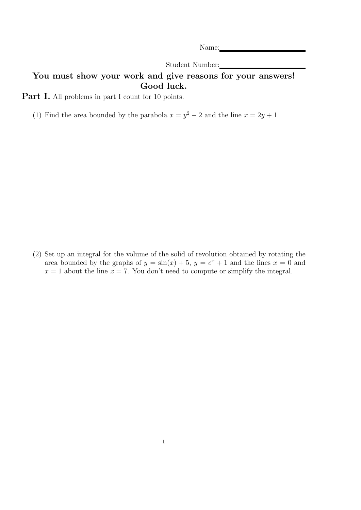Name:

Student Number:

## You must show your work and give reasons for your answers! Good luck.

Part I. All problems in part I count for 10 points.

(1) Find the area bounded by the parabola  $x = y^2 - 2$  and the line  $x = 2y + 1$ .

(2) Set up an integral for the volume of the solid of revolution obtained by rotating the area bounded by the graphs of  $y = sin(x) + 5$ ,  $y = e^x + 1$  and the lines  $x = 0$  and  $x = 1$  about the line  $x = 7$ . You don't need to compute or simplify the integral.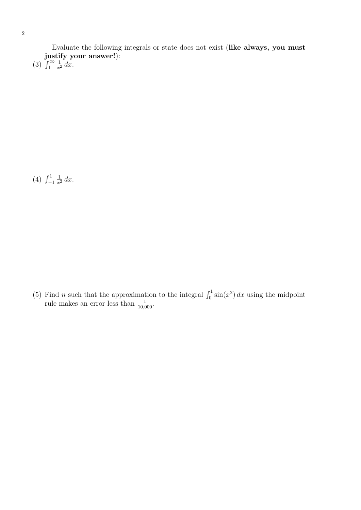Evaluate the following integrals or state does not exist (like always, you must justify your answer!):

(3)  $\int_1^\infty$  $rac{1}{x^2} dx$ .

 $(4) \int_{-1}^{1}$  $rac{1}{x^2} dx$ .

(5) Find *n* such that the approximation to the integral  $\int_0^1 \sin(x^2) dx$  using the midpoint rule makes an error less than  $\frac{1}{10,000}$ .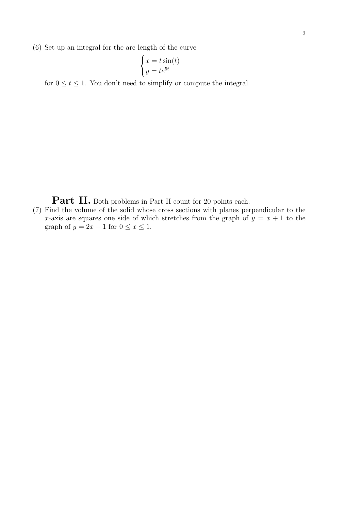$$
\begin{cases} x = t \sin(t) \\ y = te^{5t} \end{cases}
$$

for  $0 \le t \le 1$ . You don't need to simplify or compute the integral.

Part II. Both problems in Part II count for 20 points each.

(7) Find the volume of the solid whose cross sections with planes perpendicular to the x-axis are squares one side of which stretches from the graph of  $y = x + 1$  to the graph of  $y = 2x - 1$  for  $0 \le x \le 1$ .